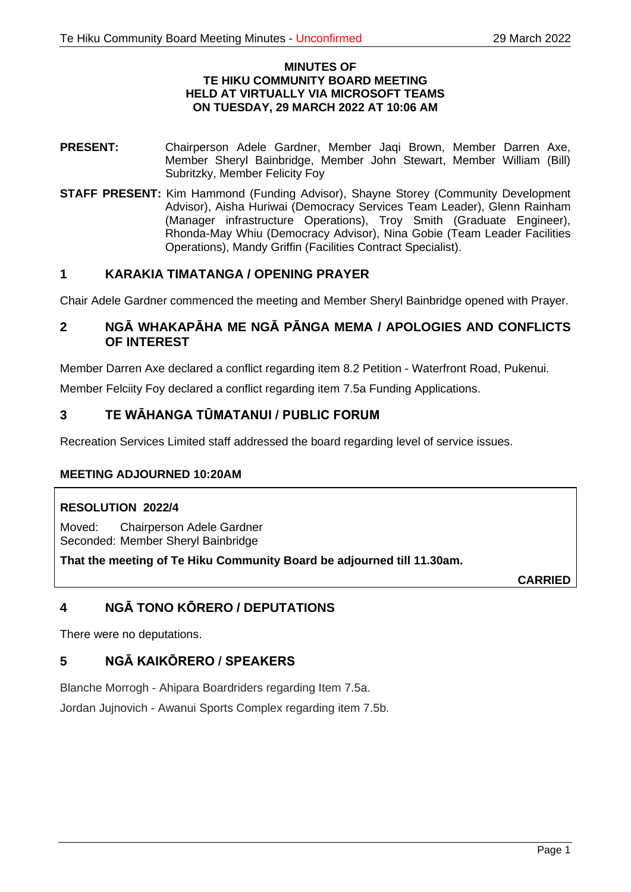#### **MINUTES OF TE HIKU COMMUNITY BOARD MEETING HELD AT VIRTUALLY VIA MICROSOFT TEAMS ON TUESDAY, 29 MARCH 2022 AT 10:06 AM**

- **PRESENT:** Chairperson Adele Gardner, Member Jaqi Brown, Member Darren Axe, Member Sheryl Bainbridge, Member John Stewart, Member William (Bill) Subritzky, Member Felicity Foy
- **STAFF PRESENT:** Kim Hammond (Funding Advisor), Shayne Storey (Community Development Advisor), Aisha Huriwai (Democracy Services Team Leader), Glenn Rainham (Manager infrastructure Operations), Troy Smith (Graduate Engineer), Rhonda-May Whiu (Democracy Advisor), Nina Gobie (Team Leader Facilities Operations), Mandy Griffin (Facilities Contract Specialist).

# **1 KARAKIA TIMATANGA / OPENING PRAYER**

Chair Adele Gardner commenced the meeting and Member Sheryl Bainbridge opened with Prayer.

# **2 NGĀ WHAKAPĀHA ME NGĀ PĀNGA MEMA / APOLOGIES AND CONFLICTS OF INTEREST**

Member Darren Axe declared a conflict regarding item 8.2 Petition - Waterfront Road, Pukenui. Member Felciity Foy declared a conflict regarding item 7.5a Funding Applications.

# **3 TE WĀHANGA TŪMATANUI / PUBLIC FORUM**

Recreation Services Limited staff addressed the board regarding level of service issues.

# **MEETING ADJOURNED 10:20AM**

# **RESOLUTION 2022/4**

Moved: Chairperson Adele Gardner Seconded: Member Sheryl Bainbridge

**That the meeting of Te Hiku Community Board be adjourned till 11.30am.**

**CARRIED**

# **4 NGĀ TONO KŌRERO / DEPUTATIONS**

There were no deputations.

# **5 NGĀ KAIKŌRERO / SPEAKERS**

Blanche Morrogh - Ahipara Boardriders regarding Item 7.5a.

Jordan Jujnovich - Awanui Sports Complex regarding item 7.5b.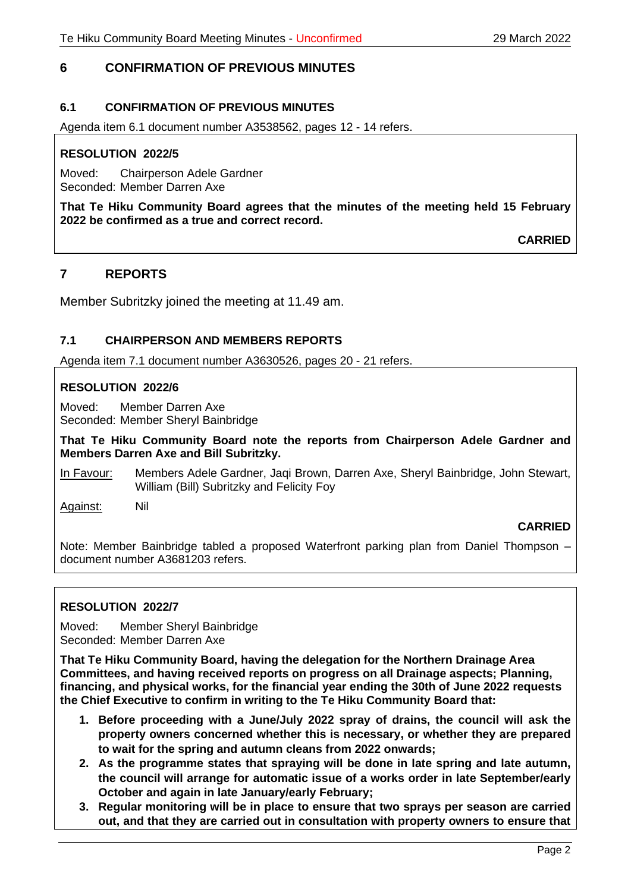# **6 CONFIRMATION OF PREVIOUS MINUTES**

## **6.1 CONFIRMATION OF PREVIOUS MINUTES**

Agenda item 6.1 document number A3538562, pages 12 - 14 refers.

#### **RESOLUTION 2022/5**

Moved: Chairperson Adele Gardner Seconded: Member Darren Axe

**That Te Hiku Community Board agrees that the minutes of the meeting held 15 February 2022 be confirmed as a true and correct record.**

**CARRIED**

# **7 REPORTS**

Member Subritzky joined the meeting at 11.49 am.

## **7.1 CHAIRPERSON AND MEMBERS REPORTS**

Agenda item 7.1 document number A3630526, pages 20 - 21 refers.

#### **RESOLUTION 2022/6**

Moved: Member Darren Axe Seconded: Member Sheryl Bainbridge

**That Te Hiku Community Board note the reports from Chairperson Adele Gardner and Members Darren Axe and Bill Subritzky.**

In Favour: Members Adele Gardner, Jaqi Brown, Darren Axe, Sheryl Bainbridge, John Stewart, William (Bill) Subritzky and Felicity Foy

Against: Nil

# **CARRIED**

Note: Member Bainbridge tabled a proposed Waterfront parking plan from Daniel Thompson – document number A3681203 refers.

## **RESOLUTION 2022/7**

Moved: Member Sheryl Bainbridge Seconded: Member Darren Axe

**That Te Hiku Community Board, having the delegation for the Northern Drainage Area Committees, and having received reports on progress on all Drainage aspects; Planning, financing, and physical works, for the financial year ending the 30th of June 2022 requests the Chief Executive to confirm in writing to the Te Hiku Community Board that:**

- **1. Before proceeding with a June/July 2022 spray of drains, the council will ask the property owners concerned whether this is necessary, or whether they are prepared to wait for the spring and autumn cleans from 2022 onwards;**
- **2. As the programme states that spraying will be done in late spring and late autumn, the council will arrange for automatic issue of a works order in late September/early October and again in late January/early February;**
- **3. Regular monitoring will be in place to ensure that two sprays per season are carried out, and that they are carried out in consultation with property owners to ensure that**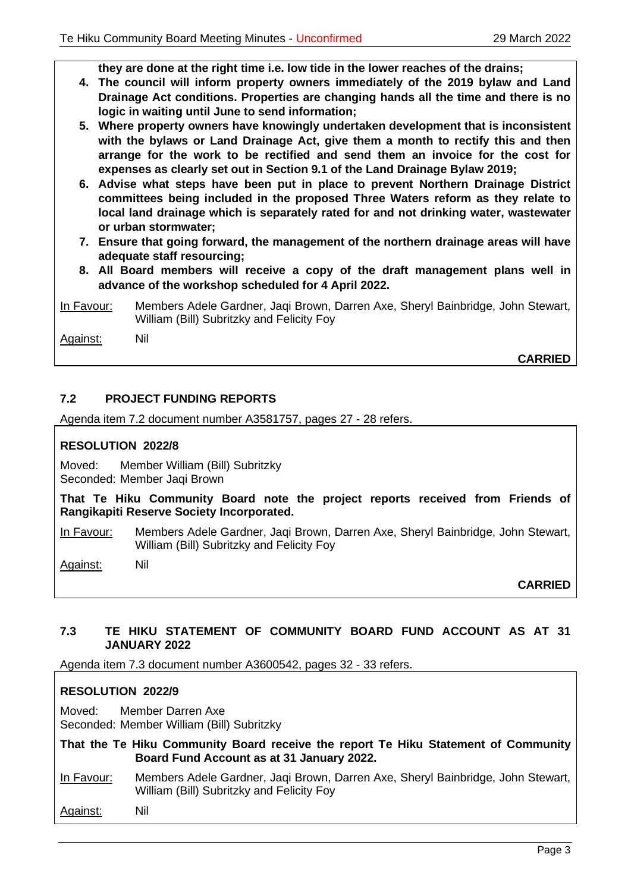**they are done at the right time i.e. low tide in the lower reaches of the drains;**

- **4. The council will inform property owners immediately of the 2019 bylaw and Land Drainage Act conditions. Properties are changing hands all the time and there is no logic in waiting until June to send information;**
- **5. Where property owners have knowingly undertaken development that is inconsistent with the bylaws or Land Drainage Act, give them a month to rectify this and then arrange for the work to be rectified and send them an invoice for the cost for expenses as clearly set out in Section 9.1 of the Land Drainage Bylaw 2019;**
- **6. Advise what steps have been put in place to prevent Northern Drainage District committees being included in the proposed Three Waters reform as they relate to local land drainage which is separately rated for and not drinking water, wastewater or urban stormwater;**
- **7. Ensure that going forward, the management of the northern drainage areas will have adequate staff resourcing;**
- **8. All Board members will receive a copy of the draft management plans well in advance of the workshop scheduled for 4 April 2022.**
- In Favour: Members Adele Gardner, Jaqi Brown, Darren Axe, Sheryl Bainbridge, John Stewart, William (Bill) Subritzky and Felicity Foy

Against: Nil

**CARRIED**

# **7.2 PROJECT FUNDING REPORTS**

Agenda item 7.2 document number A3581757, pages 27 - 28 refers.

## **RESOLUTION 2022/8**

Moved: Member William (Bill) Subritzky Seconded: Member Jaqi Brown

**That Te Hiku Community Board note the project reports received from Friends of Rangikapiti Reserve Society Incorporated.**

In Favour: Members Adele Gardner, Jaqi Brown, Darren Axe, Sheryl Bainbridge, John Stewart, William (Bill) Subritzky and Felicity Foy

Against: Nil

**CARRIED**

## **7.3 TE HIKU STATEMENT OF COMMUNITY BOARD FUND ACCOUNT AS AT 31 JANUARY 2022**

Agenda item 7.3 document number A3600542, pages 32 - 33 refers.

## **RESOLUTION 2022/9**

Moved: Member Darren Axe Seconded: Member William (Bill) Subritzky

- **That the Te Hiku Community Board receive the report Te Hiku Statement of Community Board Fund Account as at 31 January 2022.**
- In Favour: Members Adele Gardner, Jaqi Brown, Darren Axe, Sheryl Bainbridge, John Stewart, William (Bill) Subritzky and Felicity Foy
- Against: Nil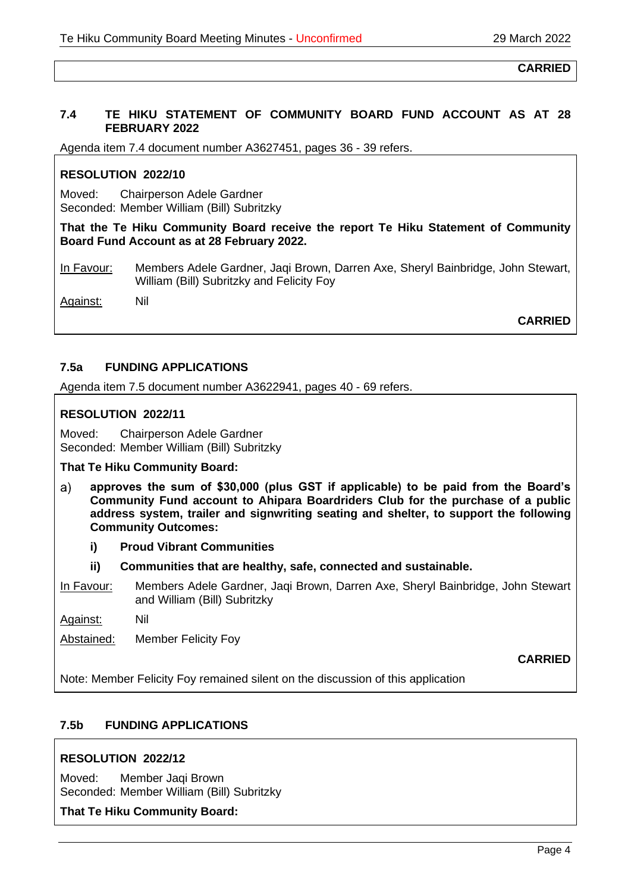#### **7.4 TE HIKU STATEMENT OF COMMUNITY BOARD FUND ACCOUNT AS AT 28 FEBRUARY 2022**

Agenda item 7.4 document number A3627451, pages 36 - 39 refers.

## **RESOLUTION 2022/10**

Moved: Chairperson Adele Gardner Seconded: Member William (Bill) Subritzky

**That the Te Hiku Community Board receive the report Te Hiku Statement of Community Board Fund Account as at 28 February 2022.**

In Favour: Members Adele Gardner, Jaqi Brown, Darren Axe, Sheryl Bainbridge, John Stewart, William (Bill) Subritzky and Felicity Foy

Against: Nil

**CARRIED**

## **7.5a FUNDING APPLICATIONS**

Agenda item 7.5 document number A3622941, pages 40 - 69 refers.

## **RESOLUTION 2022/11**

Moved: Chairperson Adele Gardner Seconded: Member William (Bill) Subritzky

#### **That Te Hiku Community Board:**

- **approves the sum of \$30,000 (plus GST if applicable) to be paid from the Board's**  a) **Community Fund account to Ahipara Boardriders Club for the purchase of a public address system, trailer and signwriting seating and shelter, to support the following Community Outcomes:**
	- **i) Proud Vibrant Communities**
	- **ii) Communities that are healthy, safe, connected and sustainable.**
- In Favour: Members Adele Gardner, Jaqi Brown, Darren Axe, Sheryl Bainbridge, John Stewart and William (Bill) Subritzky
- Against: Nil

Abstained: Member Felicity Foy

**CARRIED**

Note: Member Felicity Foy remained silent on the discussion of this application

## **7.5b FUNDING APPLICATIONS**

## **RESOLUTION 2022/12**

Moved: Member Jaqi Brown Seconded: Member William (Bill) Subritzky

#### **That Te Hiku Community Board:**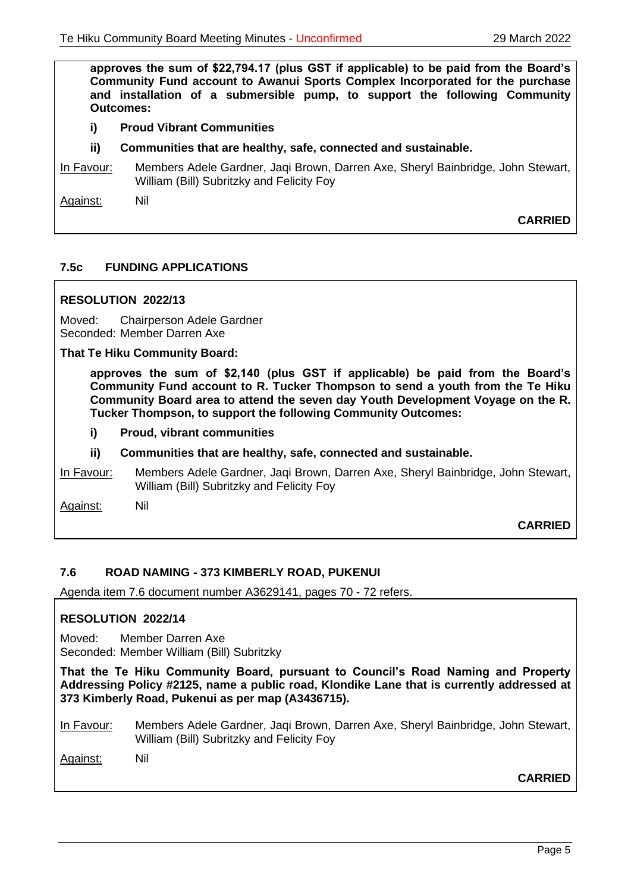**approves the sum of \$22,794.17 (plus GST if applicable) to be paid from the Board's Community Fund account to Awanui Sports Complex Incorporated for the purchase and installation of a submersible pump, to support the following Community Outcomes:**

- **i) Proud Vibrant Communities**
- **ii) Communities that are healthy, safe, connected and sustainable.**
- In Favour: Members Adele Gardner, Jaqi Brown, Darren Axe, Sheryl Bainbridge, John Stewart, William (Bill) Subritzky and Felicity Foy

Against: Nil

**CARRIED**

## **7.5c FUNDING APPLICATIONS**

#### **RESOLUTION 2022/13**

Moved: Chairperson Adele Gardner Seconded: Member Darren Axe

#### **That Te Hiku Community Board:**

**approves the sum of \$2,140 (plus GST if applicable) be paid from the Board's Community Fund account to R. Tucker Thompson to send a youth from the Te Hiku Community Board area to attend the seven day Youth Development Voyage on the R. Tucker Thompson, to support the following Community Outcomes:**

- **i) Proud, vibrant communities**
- **ii) Communities that are healthy, safe, connected and sustainable.**
- In Favour: Members Adele Gardner, Jaqi Brown, Darren Axe, Sheryl Bainbridge, John Stewart, William (Bill) Subritzky and Felicity Foy

Against: Nil

**CARRIED**

#### **7.6 ROAD NAMING - 373 KIMBERLY ROAD, PUKENUI**

Agenda item 7.6 document number A3629141, pages 70 - 72 refers.

#### **RESOLUTION 2022/14**

Moved: Member Darren Axe Seconded: Member William (Bill) Subritzky

**That the Te Hiku Community Board, pursuant to Council's Road Naming and Property Addressing Policy #2125, name a public road, Klondike Lane that is currently addressed at 373 Kimberly Road, Pukenui as per map (A3436715).**

In Favour: Members Adele Gardner, Jaqi Brown, Darren Axe, Sheryl Bainbridge, John Stewart, William (Bill) Subritzky and Felicity Foy

Against: Nil

**CARRIED**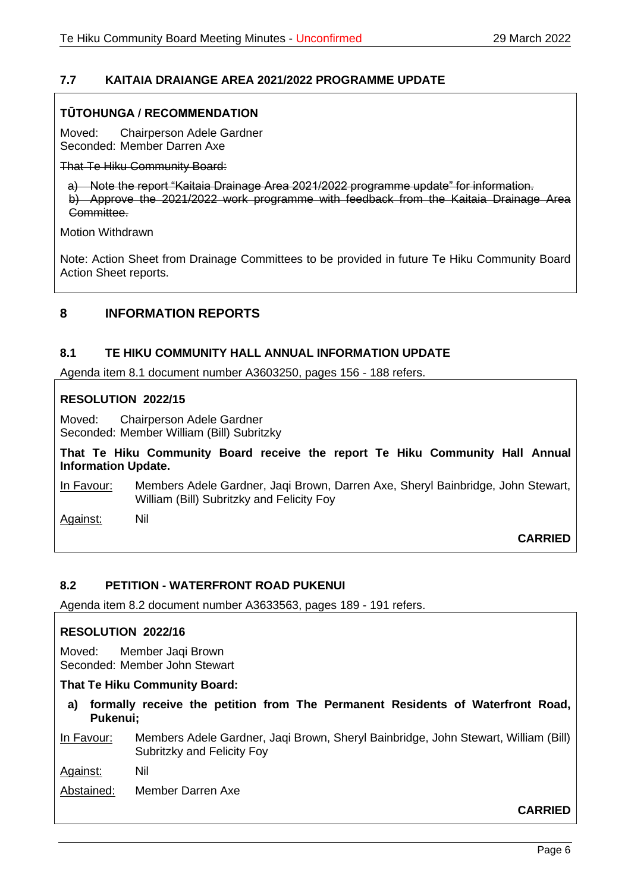# **7.7 KAITAIA DRAIANGE AREA 2021/2022 PROGRAMME UPDATE**

## **TŪTOHUNGA / RECOMMENDATION**

Moved: Chairperson Adele Gardner Seconded: Member Darren Axe

That Te Hiku Community Board:

a) Note the report "Kaitaia Drainage Area 2021/2022 programme update" for information. b) Approve the 2021/2022 work programme with feedback from the Kaitaia Drainage Area Committee.

Motion Withdrawn

Note: Action Sheet from Drainage Committees to be provided in future Te Hiku Community Board Action Sheet reports.

# **8 INFORMATION REPORTS**

## **8.1 TE HIKU COMMUNITY HALL ANNUAL INFORMATION UPDATE**

Agenda item 8.1 document number A3603250, pages 156 - 188 refers.

## **RESOLUTION 2022/15**

Moved: Chairperson Adele Gardner Seconded: Member William (Bill) Subritzky

**That Te Hiku Community Board receive the report Te Hiku Community Hall Annual Information Update.**

In Favour: Members Adele Gardner, Jaqi Brown, Darren Axe, Sheryl Bainbridge, John Stewart, William (Bill) Subritzky and Felicity Foy

Against: Nil

**CARRIED**

## **8.2 PETITION - WATERFRONT ROAD PUKENUI**

Agenda item 8.2 document number A3633563, pages 189 - 191 refers.

## **RESOLUTION 2022/16**

Moved: Member Jaqi Brown Seconded: Member John Stewart

## **That Te Hiku Community Board:**

**a) formally receive the petition from The Permanent Residents of Waterfront Road, Pukenui;** 

In Favour: Members Adele Gardner, Jaqi Brown, Sheryl Bainbridge, John Stewart, William (Bill) Subritzky and Felicity Foy

Against: Nil

Abstained: Member Darren Axe

## **CARRIED**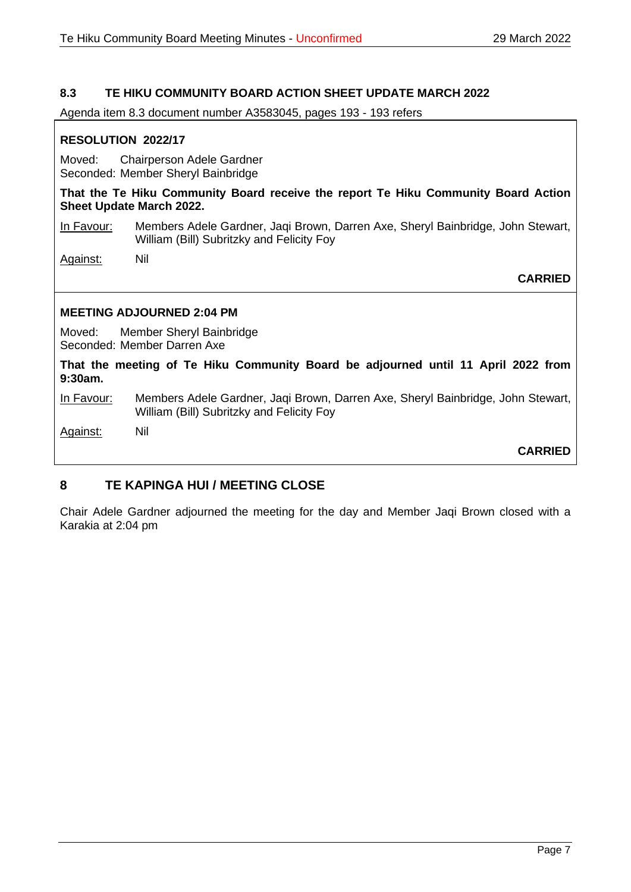## **8.3 TE HIKU COMMUNITY BOARD ACTION SHEET UPDATE MARCH 2022**

Agenda item 8.3 document number A3583045, pages 193 - 193 refers

## **RESOLUTION 2022/17**

Moved: Chairperson Adele Gardner Seconded: Member Sheryl Bainbridge

**That the Te Hiku Community Board receive the report Te Hiku Community Board Action Sheet Update March 2022.**

In Favour: Members Adele Gardner, Jaqi Brown, Darren Axe, Sheryl Bainbridge, John Stewart, William (Bill) Subritzky and Felicity Foy

Against: Nil

**CARRIED**

#### **MEETING ADJOURNED 2:04 PM**

Moved: Member Sheryl Bainbridge Seconded: Member Darren Axe

**That the meeting of Te Hiku Community Board be adjourned until 11 April 2022 from 9:30am.**

In Favour: Members Adele Gardner, Jaqi Brown, Darren Axe, Sheryl Bainbridge, John Stewart, William (Bill) Subritzky and Felicity Foy

Against: Nil

**CARRIED**

# **8 TE KAPINGA HUI / MEETING CLOSE**

Chair Adele Gardner adjourned the meeting for the day and Member Jaqi Brown closed with a Karakia at 2:04 pm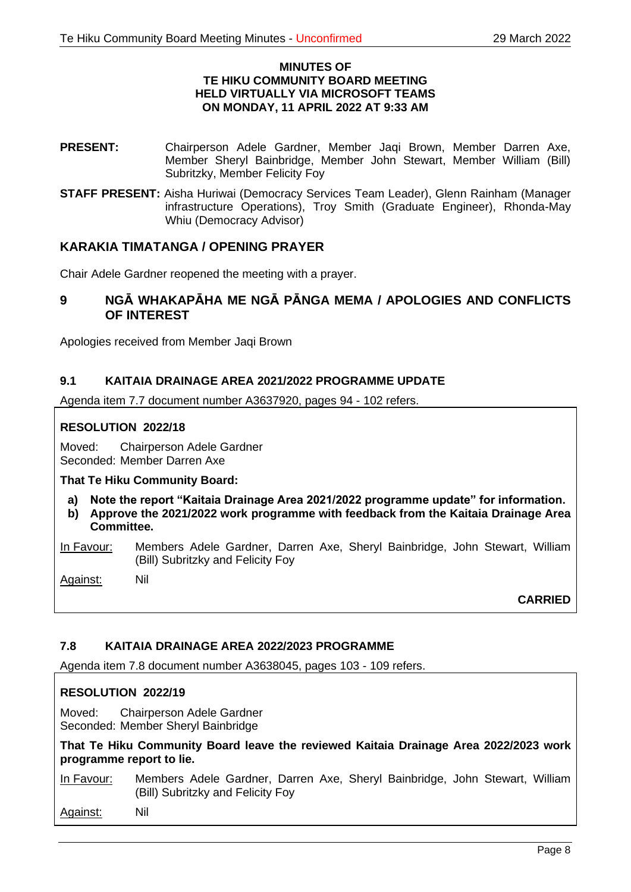#### **MINUTES OF TE HIKU COMMUNITY BOARD MEETING HELD VIRTUALLY VIA MICROSOFT TEAMS ON MONDAY, 11 APRIL 2022 AT 9:33 AM**

- **PRESENT:** Chairperson Adele Gardner, Member Jaqi Brown, Member Darren Axe, Member Sheryl Bainbridge, Member John Stewart, Member William (Bill) Subritzky, Member Felicity Foy
- **STAFF PRESENT:** Aisha Huriwai (Democracy Services Team Leader), Glenn Rainham (Manager infrastructure Operations), Troy Smith (Graduate Engineer), Rhonda-May Whiu (Democracy Advisor)

## **KARAKIA TIMATANGA / OPENING PRAYER**

Chair Adele Gardner reopened the meeting with a prayer.

## **9 NGĀ WHAKAPĀHA ME NGĀ PĀNGA MEMA / APOLOGIES AND CONFLICTS OF INTEREST**

Apologies received from Member Jaqi Brown

## **9.1 KAITAIA DRAINAGE AREA 2021/2022 PROGRAMME UPDATE**

Agenda item 7.7 document number A3637920, pages 94 - 102 refers.

#### **RESOLUTION 2022/18**

Moved: Chairperson Adele Gardner Seconded: Member Darren Axe

**That Te Hiku Community Board:**

- **a) Note the report "Kaitaia Drainage Area 2021/2022 programme update" for information.**
- **b) Approve the 2021/2022 work programme with feedback from the Kaitaia Drainage Area Committee.**

In Favour: Members Adele Gardner, Darren Axe, Sheryl Bainbridge, John Stewart, William (Bill) Subritzky and Felicity Foy

Against: Nil

**CARRIED**

## **7.8 KAITAIA DRAINAGE AREA 2022/2023 PROGRAMME**

Agenda item 7.8 document number A3638045, pages 103 - 109 refers.

## **RESOLUTION 2022/19**

Moved: Chairperson Adele Gardner Seconded: Member Sheryl Bainbridge

**That Te Hiku Community Board leave the reviewed Kaitaia Drainage Area 2022/2023 work programme report to lie.**

In Favour: Members Adele Gardner, Darren Axe, Sheryl Bainbridge, John Stewart, William (Bill) Subritzky and Felicity Foy

Against: Nil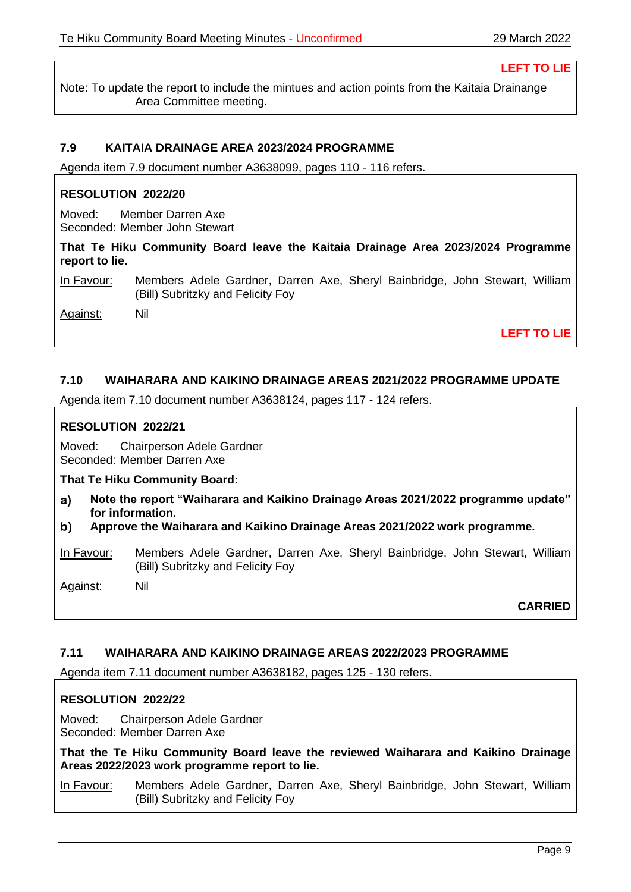**LEFT TO LIE**

Note: To update the report to include the mintues and action points from the Kaitaia Drainange Area Committee meeting.

## **7.9 KAITAIA DRAINAGE AREA 2023/2024 PROGRAMME**

Agenda item 7.9 document number A3638099, pages 110 - 116 refers.

#### **RESOLUTION 2022/20**

Moved: Member Darren Axe Seconded: Member John Stewart

**That Te Hiku Community Board leave the Kaitaia Drainage Area 2023/2024 Programme report to lie.**

In Favour: Members Adele Gardner, Darren Axe, Sheryl Bainbridge, John Stewart, William (Bill) Subritzky and Felicity Foy

Against: Nil

**LEFT TO LIE**

#### **7.10 WAIHARARA AND KAIKINO DRAINAGE AREAS 2021/2022 PROGRAMME UPDATE**

Agenda item 7.10 document number A3638124, pages 117 - 124 refers.

#### **RESOLUTION 2022/21**

Moved: Chairperson Adele Gardner Seconded: Member Darren Axe

**That Te Hiku Community Board:**

- **Note the report "Waiharara and Kaikino Drainage Areas 2021/2022 programme update"**   $a)$ **for information.**
- b) **Approve the Waiharara and Kaikino Drainage Areas 2021/2022 work programme***.*

In Favour: Members Adele Gardner, Darren Axe, Sheryl Bainbridge, John Stewart, William (Bill) Subritzky and Felicity Foy

Against: Nil

**CARRIED**

#### **7.11 WAIHARARA AND KAIKINO DRAINAGE AREAS 2022/2023 PROGRAMME**

Agenda item 7.11 document number A3638182, pages 125 - 130 refers.

#### **RESOLUTION 2022/22**

Moved: Chairperson Adele Gardner Seconded: Member Darren Axe

**That the Te Hiku Community Board leave the reviewed Waiharara and Kaikino Drainage Areas 2022/2023 work programme report to lie.**

In Favour: Members Adele Gardner, Darren Axe, Sheryl Bainbridge, John Stewart, William (Bill) Subritzky and Felicity Foy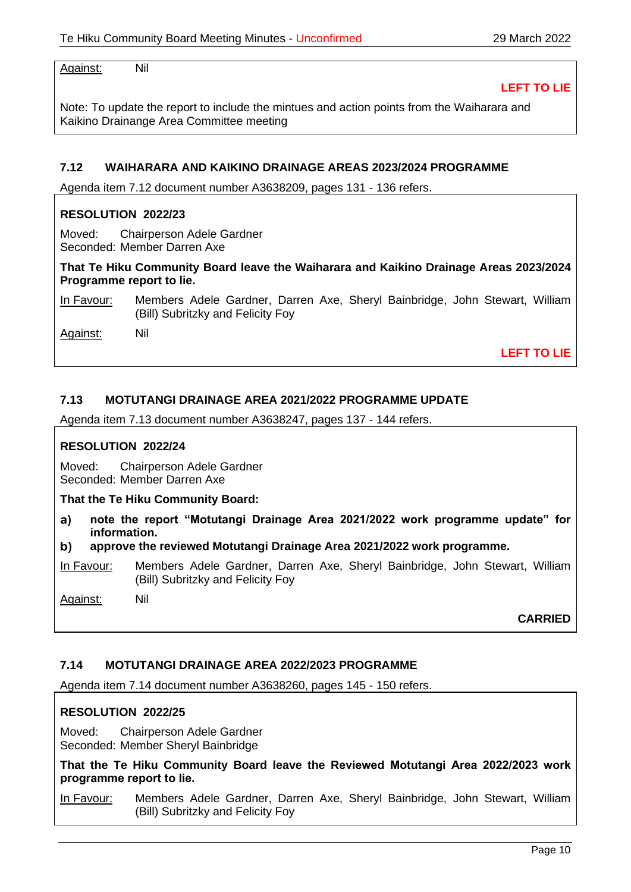Against: Nil

**LEFT TO LIE**

Note: To update the report to include the mintues and action points from the Waiharara and Kaikino Drainange Area Committee meeting

#### **7.12 WAIHARARA AND KAIKINO DRAINAGE AREAS 2023/2024 PROGRAMME**

Agenda item 7.12 document number A3638209, pages 131 - 136 refers.

#### **RESOLUTION 2022/23**

Moved: Chairperson Adele Gardner Seconded: Member Darren Axe

**That Te Hiku Community Board leave the Waiharara and Kaikino Drainage Areas 2023/2024 Programme report to lie.**

In Favour: Members Adele Gardner, Darren Axe, Sheryl Bainbridge, John Stewart, William (Bill) Subritzky and Felicity Foy

Against: Nil

**LEFT TO LIE**

## **7.13 MOTUTANGI DRAINAGE AREA 2021/2022 PROGRAMME UPDATE**

Agenda item 7.13 document number A3638247, pages 137 - 144 refers.

#### **RESOLUTION 2022/24**

Moved: Chairperson Adele Gardner Seconded: Member Darren Axe

**That the Te Hiku Community Board:**

- **note the report "Motutangi Drainage Area 2021/2022 work programme update" for**  a) **information.**
- **approve the reviewed Motutangi Drainage Area 2021/2022 work programme.** b)

In Favour: Members Adele Gardner, Darren Axe, Sheryl Bainbridge, John Stewart, William (Bill) Subritzky and Felicity Foy

Against: Nil

**CARRIED**

## **7.14 MOTUTANGI DRAINAGE AREA 2022/2023 PROGRAMME**

Agenda item 7.14 document number A3638260, pages 145 - 150 refers.

## **RESOLUTION 2022/25**

Moved: Chairperson Adele Gardner Seconded: Member Sheryl Bainbridge

**That the Te Hiku Community Board leave the Reviewed Motutangi Area 2022/2023 work programme report to lie.**

In Favour: Members Adele Gardner, Darren Axe, Sheryl Bainbridge, John Stewart, William (Bill) Subritzky and Felicity Foy